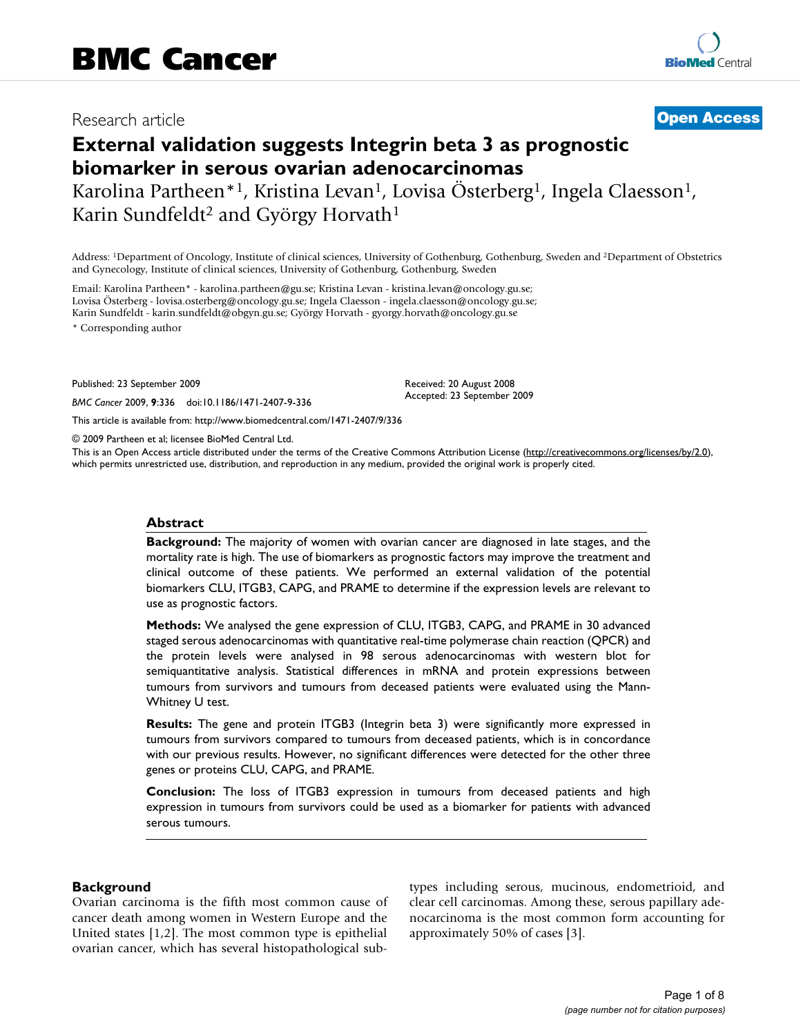## Research article **[Open Access](http://www.biomedcentral.com/info/about/charter/)**

# **External validation suggests Integrin beta 3 as prognostic biomarker in serous ovarian adenocarcinomas**

Karolina Partheen\*<sup>1</sup>, Kristina Levan<sup>1</sup>, Lovisa Österberg<sup>1</sup>, Ingela Claesson<sup>1</sup>, Karin Sundfeldt<sup>2</sup> and György Horvath<sup>1</sup>

Address: 1Department of Oncology, Institute of clinical sciences, University of Gothenburg, Gothenburg, Sweden and 2Department of Obstetrics and Gynecology, Institute of clinical sciences, University of Gothenburg, Gothenburg, Sweden

Email: Karolina Partheen\* - karolina.partheen@gu.se; Kristina Levan - kristina.levan@oncology.gu.se; Lovisa Österberg - lovisa.osterberg@oncology.gu.se; Ingela Claesson - ingela.claesson@oncology.gu.se; Karin Sundfeldt - karin.sundfeldt@obgyn.gu.se; György Horvath - gyorgy.horvath@oncology.gu.se \* Corresponding author

Published: 23 September 2009

*BMC Cancer* 2009, **9**:336 doi:10.1186/1471-2407-9-336

[This article is available from: http://www.biomedcentral.com/1471-2407/9/336](http://www.biomedcentral.com/1471-2407/9/336)

© 2009 Partheen et al; licensee BioMed Central Ltd.

This is an Open Access article distributed under the terms of the Creative Commons Attribution License [\(http://creativecommons.org/licenses/by/2.0\)](http://creativecommons.org/licenses/by/2.0), which permits unrestricted use, distribution, and reproduction in any medium, provided the original work is properly cited.

Received: 20 August 2008 Accepted: 23 September 2009

#### **Abstract**

**Background:** The majority of women with ovarian cancer are diagnosed in late stages, and the mortality rate is high. The use of biomarkers as prognostic factors may improve the treatment and clinical outcome of these patients. We performed an external validation of the potential biomarkers CLU, ITGB3, CAPG, and PRAME to determine if the expression levels are relevant to use as prognostic factors.

**Methods:** We analysed the gene expression of CLU, ITGB3, CAPG, and PRAME in 30 advanced staged serous adenocarcinomas with quantitative real-time polymerase chain reaction (QPCR) and the protein levels were analysed in 98 serous adenocarcinomas with western blot for semiquantitative analysis. Statistical differences in mRNA and protein expressions between tumours from survivors and tumours from deceased patients were evaluated using the Mann-Whitney U test.

**Results:** The gene and protein ITGB3 (Integrin beta 3) were significantly more expressed in tumours from survivors compared to tumours from deceased patients, which is in concordance with our previous results. However, no significant differences were detected for the other three genes or proteins CLU, CAPG, and PRAME.

**Conclusion:** The loss of ITGB3 expression in tumours from deceased patients and high expression in tumours from survivors could be used as a biomarker for patients with advanced serous tumours.

#### **Background**

Ovarian carcinoma is the fifth most common cause of cancer death among women in Western Europe and the United states [1,2]. The most common type is epithelial ovarian cancer, which has several histopathological subtypes including serous, mucinous, endometrioid, and clear cell carcinomas. Among these, serous papillary adenocarcinoma is the most common form accounting for approximately 50% of cases [3].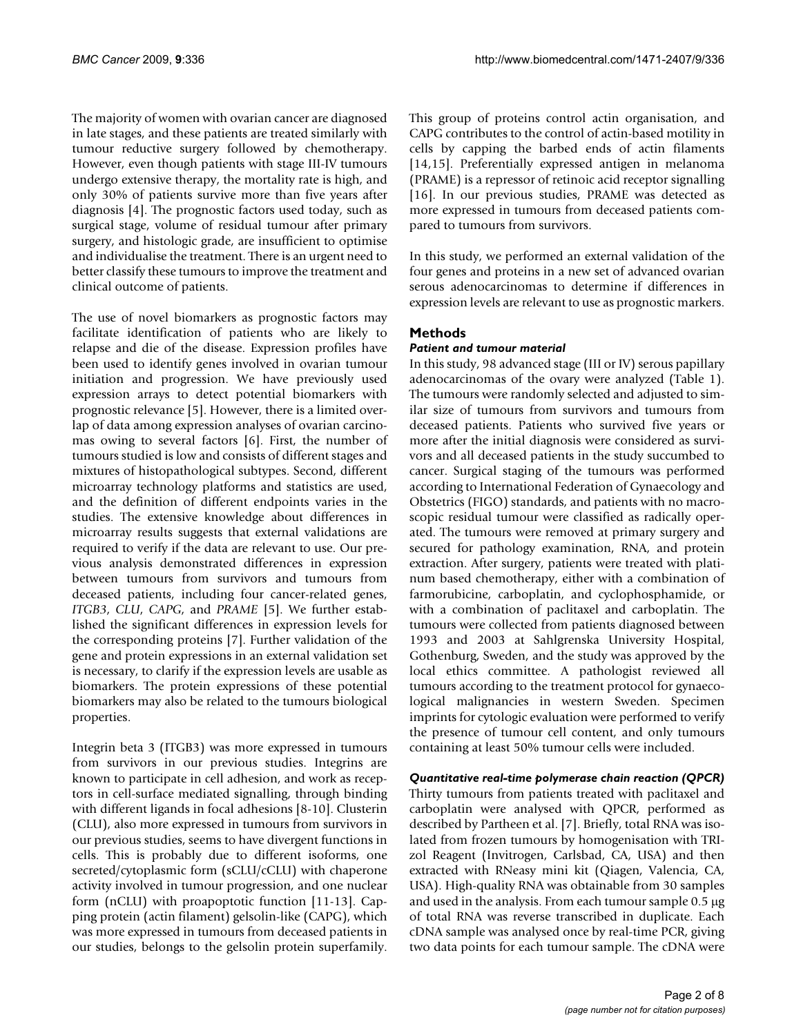The majority of women with ovarian cancer are diagnosed in late stages, and these patients are treated similarly with tumour reductive surgery followed by chemotherapy. However, even though patients with stage III-IV tumours undergo extensive therapy, the mortality rate is high, and only 30% of patients survive more than five years after diagnosis [4]. The prognostic factors used today, such as surgical stage, volume of residual tumour after primary surgery, and histologic grade, are insufficient to optimise and individualise the treatment. There is an urgent need to better classify these tumours to improve the treatment and clinical outcome of patients.

The use of novel biomarkers as prognostic factors may facilitate identification of patients who are likely to relapse and die of the disease. Expression profiles have been used to identify genes involved in ovarian tumour initiation and progression. We have previously used expression arrays to detect potential biomarkers with prognostic relevance [5]. However, there is a limited overlap of data among expression analyses of ovarian carcinomas owing to several factors [6]. First, the number of tumours studied is low and consists of different stages and mixtures of histopathological subtypes. Second, different microarray technology platforms and statistics are used, and the definition of different endpoints varies in the studies. The extensive knowledge about differences in microarray results suggests that external validations are required to verify if the data are relevant to use. Our previous analysis demonstrated differences in expression between tumours from survivors and tumours from deceased patients, including four cancer-related genes, *ITGB3*, *CLU*, *CAPG*, and *PRAME* [5]. We further established the significant differences in expression levels for the corresponding proteins [7]. Further validation of the gene and protein expressions in an external validation set is necessary, to clarify if the expression levels are usable as biomarkers. The protein expressions of these potential biomarkers may also be related to the tumours biological properties.

Integrin beta 3 (ITGB3) was more expressed in tumours from survivors in our previous studies. Integrins are known to participate in cell adhesion, and work as receptors in cell-surface mediated signalling, through binding with different ligands in focal adhesions [8-10]. Clusterin (CLU), also more expressed in tumours from survivors in our previous studies, seems to have divergent functions in cells. This is probably due to different isoforms, one secreted/cytoplasmic form (sCLU/cCLU) with chaperone activity involved in tumour progression, and one nuclear form (nCLU) with proapoptotic function [11-13]. Capping protein (actin filament) gelsolin-like (CAPG), which was more expressed in tumours from deceased patients in our studies, belongs to the gelsolin protein superfamily.

This group of proteins control actin organisation, and CAPG contributes to the control of actin-based motility in cells by capping the barbed ends of actin filaments [14,15]. Preferentially expressed antigen in melanoma (PRAME) is a repressor of retinoic acid receptor signalling [16]. In our previous studies, PRAME was detected as more expressed in tumours from deceased patients compared to tumours from survivors.

In this study, we performed an external validation of the four genes and proteins in a new set of advanced ovarian serous adenocarcinomas to determine if differences in expression levels are relevant to use as prognostic markers.

### **Methods**

#### *Patient and tumour material*

In this study, 98 advanced stage (III or IV) serous papillary adenocarcinomas of the ovary were analyzed (Table 1). The tumours were randomly selected and adjusted to similar size of tumours from survivors and tumours from deceased patients. Patients who survived five years or more after the initial diagnosis were considered as survivors and all deceased patients in the study succumbed to cancer. Surgical staging of the tumours was performed according to International Federation of Gynaecology and Obstetrics (FIGO) standards, and patients with no macroscopic residual tumour were classified as radically operated. The tumours were removed at primary surgery and secured for pathology examination, RNA, and protein extraction. After surgery, patients were treated with platinum based chemotherapy, either with a combination of farmorubicine, carboplatin, and cyclophosphamide, or with a combination of paclitaxel and carboplatin. The tumours were collected from patients diagnosed between 1993 and 2003 at Sahlgrenska University Hospital, Gothenburg, Sweden, and the study was approved by the local ethics committee. A pathologist reviewed all tumours according to the treatment protocol for gynaecological malignancies in western Sweden. Specimen imprints for cytologic evaluation were performed to verify the presence of tumour cell content, and only tumours containing at least 50% tumour cells were included.

#### *Quantitative real-time polymerase chain reaction (QPCR)*

Thirty tumours from patients treated with paclitaxel and carboplatin were analysed with QPCR, performed as described by Partheen et al. [7]. Briefly, total RNA was isolated from frozen tumours by homogenisation with TRIzol Reagent (Invitrogen, Carlsbad, CA, USA) and then extracted with RNeasy mini kit (Qiagen, Valencia, CA, USA). High-quality RNA was obtainable from 30 samples and used in the analysis. From each tumour sample  $0.5 \mu g$ of total RNA was reverse transcribed in duplicate. Each cDNA sample was analysed once by real-time PCR, giving two data points for each tumour sample. The cDNA were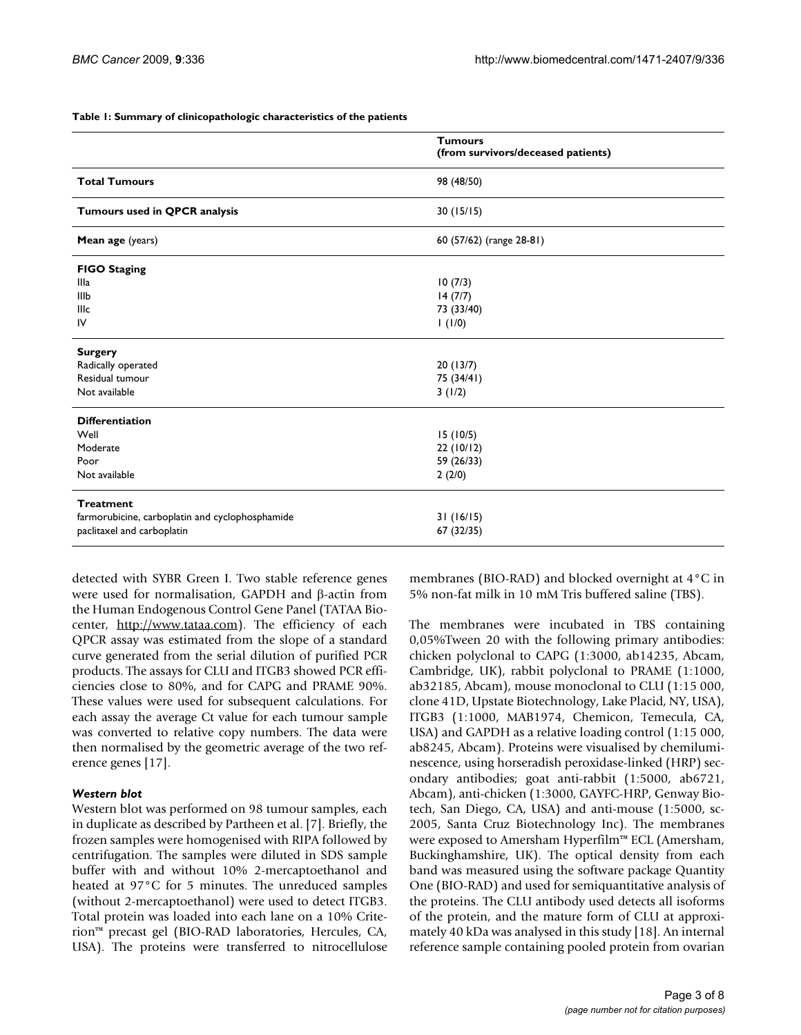#### **Table 1: Summary of clinicopathologic characteristics of the patients**

|                                                 | <b>Tumours</b><br>(from survivors/deceased patients) |  |
|-------------------------------------------------|------------------------------------------------------|--|
| <b>Total Tumours</b>                            | 98 (48/50)                                           |  |
| Tumours used in QPCR analysis                   | 30(15/15)                                            |  |
| Mean age (years)                                | 60 (57/62) (range 28-81)                             |  |
| <b>FIGO Staging</b>                             |                                                      |  |
| Illa                                            | 10(7/3)                                              |  |
| IIIb                                            | 14(7/7)                                              |  |
| lllc                                            | 73 (33/40)                                           |  |
| IV                                              | 1(1/0)                                               |  |
| <b>Surgery</b>                                  |                                                      |  |
| Radically operated                              | 20(13/7)                                             |  |
| Residual tumour                                 | 75 (34/41)                                           |  |
| Not available                                   | 3(1/2)                                               |  |
| <b>Differentiation</b>                          |                                                      |  |
| Well                                            | 15(10/5)                                             |  |
| Moderate                                        | 22(10/12)                                            |  |
| Poor                                            | 59 (26/33)                                           |  |
| Not available                                   | 2(2/0)                                               |  |
| <b>Treatment</b>                                |                                                      |  |
| farmorubicine, carboplatin and cyclophosphamide | 31(16/15)                                            |  |
| paclitaxel and carboplatin                      | 67 (32/35)                                           |  |
|                                                 |                                                      |  |

detected with SYBR Green I. Two stable reference genes were used for normalisation, GAPDH and  $\beta$ -actin from the Human Endogenous Control Gene Panel (TATAA Biocenter, [http://www.tataa.com\)](http://www.tataa.com). The efficiency of each QPCR assay was estimated from the slope of a standard curve generated from the serial dilution of purified PCR products. The assays for CLU and ITGB3 showed PCR efficiencies close to 80%, and for CAPG and PRAME 90%. These values were used for subsequent calculations. For each assay the average Ct value for each tumour sample was converted to relative copy numbers. The data were then normalised by the geometric average of the two reference genes [17].

#### *Western blot*

Western blot was performed on 98 tumour samples, each in duplicate as described by Partheen et al. [7]. Briefly, the frozen samples were homogenised with RIPA followed by centrifugation. The samples were diluted in SDS sample buffer with and without 10% 2-mercaptoethanol and heated at 97°C for 5 minutes. The unreduced samples (without 2-mercaptoethanol) were used to detect ITGB3. Total protein was loaded into each lane on a 10% Criterion™ precast gel (BIO-RAD laboratories, Hercules, CA, USA). The proteins were transferred to nitrocellulose membranes (BIO-RAD) and blocked overnight at 4°C in 5% non-fat milk in 10 mM Tris buffered saline (TBS).

The membranes were incubated in TBS containing 0,05%Tween 20 with the following primary antibodies: chicken polyclonal to CAPG (1:3000, ab14235, Abcam, Cambridge, UK), rabbit polyclonal to PRAME (1:1000, ab32185, Abcam), mouse monoclonal to CLU (1:15 000, clone 41D, Upstate Biotechnology, Lake Placid, NY, USA), ITGB3 (1:1000, MAB1974, Chemicon, Temecula, CA, USA) and GAPDH as a relative loading control (1:15 000, ab8245, Abcam). Proteins were visualised by chemiluminescence, using horseradish peroxidase-linked (HRP) secondary antibodies; goat anti-rabbit (1:5000, ab6721, Abcam), anti-chicken (1:3000, GAYFC-HRP, Genway Biotech, San Diego, CA, USA) and anti-mouse (1:5000, sc-2005, Santa Cruz Biotechnology Inc). The membranes were exposed to Amersham Hyperfilm™ ECL (Amersham, Buckinghamshire, UK). The optical density from each band was measured using the software package Quantity One (BIO-RAD) and used for semiquantitative analysis of the proteins. The CLU antibody used detects all isoforms of the protein, and the mature form of CLU at approximately 40 kDa was analysed in this study [18]. An internal reference sample containing pooled protein from ovarian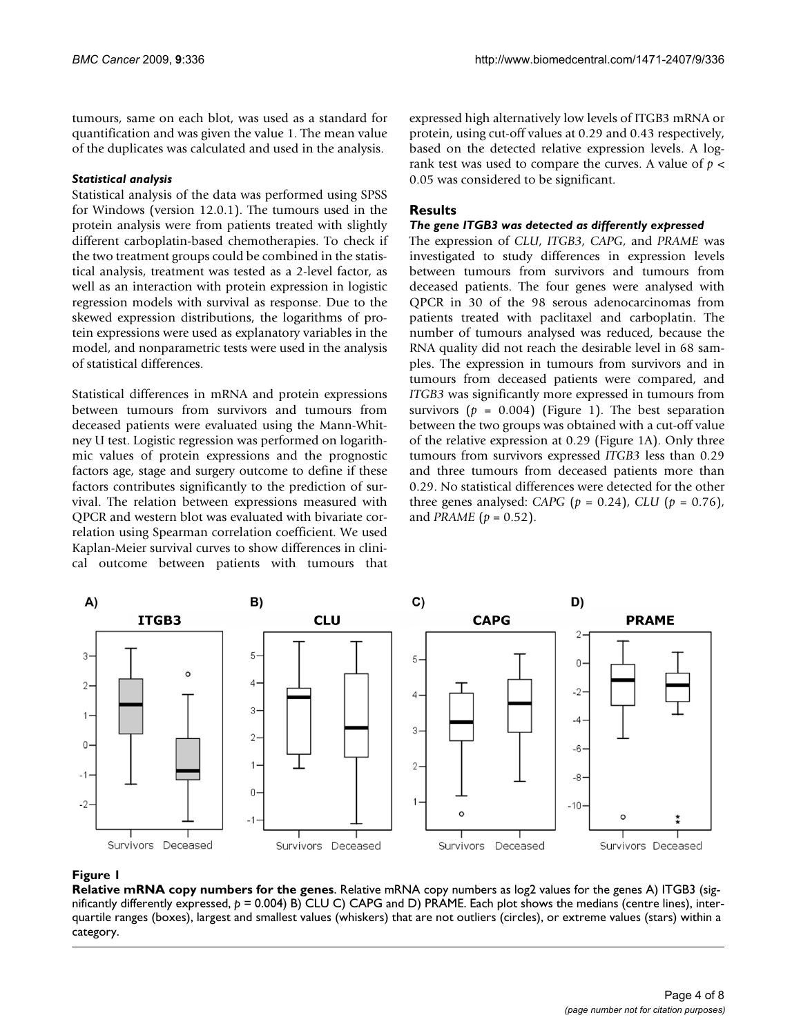tumours, same on each blot, was used as a standard for quantification and was given the value 1. The mean value of the duplicates was calculated and used in the analysis.

#### *Statistical analysis*

Statistical analysis of the data was performed using SPSS for Windows (version 12.0.1). The tumours used in the protein analysis were from patients treated with slightly different carboplatin-based chemotherapies. To check if the two treatment groups could be combined in the statistical analysis, treatment was tested as a 2-level factor, as well as an interaction with protein expression in logistic regression models with survival as response. Due to the skewed expression distributions, the logarithms of protein expressions were used as explanatory variables in the model, and nonparametric tests were used in the analysis of statistical differences.

Statistical differences in mRNA and protein expressions between tumours from survivors and tumours from deceased patients were evaluated using the Mann-Whitney U test. Logistic regression was performed on logarithmic values of protein expressions and the prognostic factors age, stage and surgery outcome to define if these factors contributes significantly to the prediction of survival. The relation between expressions measured with QPCR and western blot was evaluated with bivariate correlation using Spearman correlation coefficient. We used Kaplan-Meier survival curves to show differences in clinical outcome between patients with tumours that expressed high alternatively low levels of ITGB3 mRNA or protein, using cut-off values at 0.29 and 0.43 respectively, based on the detected relative expression levels. A logrank test was used to compare the curves. A value of *p* < 0.05 was considered to be significant.

#### **Results**

#### *The gene ITGB3 was detected as differently expressed*

The expression of *CLU*, *ITGB3*, *CAPG*, and *PRAME* was investigated to study differences in expression levels between tumours from survivors and tumours from deceased patients. The four genes were analysed with QPCR in 30 of the 98 serous adenocarcinomas from patients treated with paclitaxel and carboplatin. The number of tumours analysed was reduced, because the RNA quality did not reach the desirable level in 68 samples. The expression in tumours from survivors and in tumours from deceased patients were compared, and *ITGB3* was significantly more expressed in tumours from survivors  $(p = 0.004)$  (Figure 1). The best separation between the two groups was obtained with a cut-off value of the relative expression at 0.29 (Figure 1A). Only three tumours from survivors expressed *ITGB3* less than 0.29 and three tumours from deceased patients more than 0.29. No statistical differences were detected for the other three genes analysed: *CAPG* (*p* = 0.24), *CLU* (*p* = 0.76), and *PRAME* ( $p = 0.52$ ).



#### **Figure 1**

**Relative mRNA copy numbers for the genes**. Relative mRNA copy numbers as log2 values for the genes A) ITGB3 (significantly differently expressed, *p* = 0.004) B) CLU C) CAPG and D) PRAME. Each plot shows the medians (centre lines), interquartile ranges (boxes), largest and smallest values (whiskers) that are not outliers (circles), or extreme values (stars) within a category.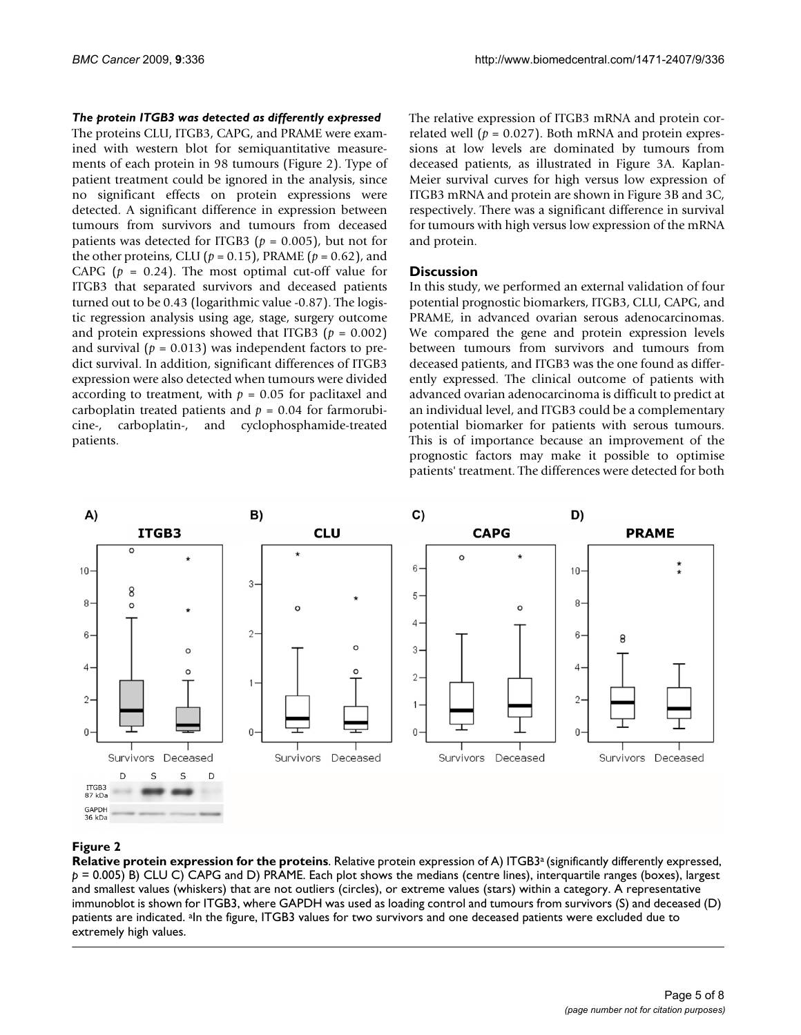#### *The protein ITGB3 was detected as differently expressed*

The proteins CLU, ITGB3, CAPG, and PRAME were examined with western blot for semiquantitative measurements of each protein in 98 tumours (Figure 2). Type of patient treatment could be ignored in the analysis, since no significant effects on protein expressions were detected. A significant difference in expression between tumours from survivors and tumours from deceased patients was detected for ITGB3 ( $p = 0.005$ ), but not for the other proteins, CLU ( $p = 0.15$ ), PRAME ( $p = 0.62$ ), and CAPG  $(p = 0.24)$ . The most optimal cut-off value for ITGB3 that separated survivors and deceased patients turned out to be 0.43 (logarithmic value -0.87). The logistic regression analysis using age, stage, surgery outcome and protein expressions showed that ITGB3 ( $p = 0.002$ ) and survival  $(p = 0.013)$  was independent factors to predict survival. In addition, significant differences of ITGB3 expression were also detected when tumours were divided according to treatment, with  $p = 0.05$  for paclitaxel and carboplatin treated patients and  $p = 0.04$  for farmorubicine-, carboplatin-, and cyclophosphamide-treated patients.

The relative expression of ITGB3 mRNA and protein correlated well ( $p = 0.027$ ). Both mRNA and protein expressions at low levels are dominated by tumours from deceased patients, as illustrated in Figure 3A. Kaplan-Meier survival curves for high versus low expression of ITGB3 mRNA and protein are shown in Figure 3B and 3C, respectively. There was a significant difference in survival for tumours with high versus low expression of the mRNA and protein.

#### **Discussion**

In this study, we performed an external validation of four potential prognostic biomarkers, ITGB3, CLU, CAPG, and PRAME, in advanced ovarian serous adenocarcinomas. We compared the gene and protein expression levels between tumours from survivors and tumours from deceased patients, and ITGB3 was the one found as differently expressed. The clinical outcome of patients with advanced ovarian adenocarcinoma is difficult to predict at an individual level, and ITGB3 could be a complementary potential biomarker for patients with serous tumours. This is of importance because an improvement of the prognostic factors may make it possible to optimise patients' treatment. The differences were detected for both



#### **Figure 2**

**Relative protein expression for the proteins**. Relative protein expression of A) ITGB3<sup>a</sup> (significantly differently expressed, *p* = 0.005) B) CLU C) CAPG and D) PRAME. Each plot shows the medians (centre lines), interquartile ranges (boxes), largest and smallest values (whiskers) that are not outliers (circles), or extreme values (stars) within a category. A representative immunoblot is shown for ITGB3, where GAPDH was used as loading control and tumours from survivors (S) and deceased (D) patients are indicated. <sup>a</sup>In the figure, ITGB3 values for two survivors and one deceased patients were excluded due to extremely high values.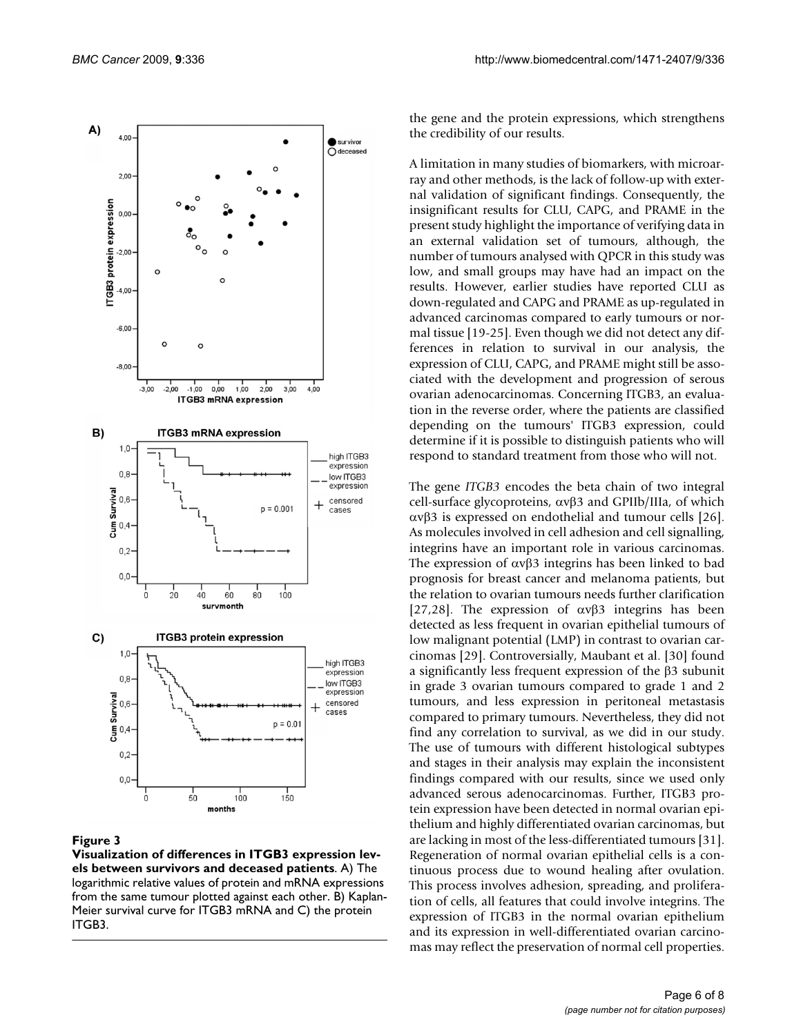

#### **Figure 3**

**Visualization of differences in ITGB3 expression levels between survivors and deceased patients**. A) The logarithmic relative values of protein and mRNA expressions from the same tumour plotted against each other. B) Kaplan-Meier survival curve for ITGB3 mRNA and C) the protein ITGB3.

the gene and the protein expressions, which strengthens the credibility of our results.

A limitation in many studies of biomarkers, with microarray and other methods, is the lack of follow-up with external validation of significant findings. Consequently, the insignificant results for CLU, CAPG, and PRAME in the present study highlight the importance of verifying data in an external validation set of tumours, although, the number of tumours analysed with QPCR in this study was low, and small groups may have had an impact on the results. However, earlier studies have reported CLU as down-regulated and CAPG and PRAME as up-regulated in advanced carcinomas compared to early tumours or normal tissue [19-25]. Even though we did not detect any differences in relation to survival in our analysis, the expression of CLU, CAPG, and PRAME might still be associated with the development and progression of serous ovarian adenocarcinomas. Concerning ITGB3, an evaluation in the reverse order, where the patients are classified depending on the tumours' ITGB3 expression, could determine if it is possible to distinguish patients who will respond to standard treatment from those who will not.

The gene *ITGB3* encodes the beta chain of two integral cell-surface glycoproteins,  $\alpha v\beta$ 3 and GPIIb/IIIa, of which  $\alpha v\beta$ 3 is expressed on endothelial and tumour cells [26]. As molecules involved in cell adhesion and cell signalling, integrins have an important role in various carcinomas. The expression of  $\alpha \nu \beta$ 3 integrins has been linked to bad prognosis for breast cancer and melanoma patients, but the relation to ovarian tumours needs further clarification [27,28]. The expression of  $\alpha \nu \beta$ 3 integrins has been detected as less frequent in ovarian epithelial tumours of low malignant potential (LMP) in contrast to ovarian carcinomas [29]. Controversially, Maubant et al. [30] found a significantly less frequent expression of the  $\beta$ 3 subunit in grade 3 ovarian tumours compared to grade 1 and 2 tumours, and less expression in peritoneal metastasis compared to primary tumours. Nevertheless, they did not find any correlation to survival, as we did in our study. The use of tumours with different histological subtypes and stages in their analysis may explain the inconsistent findings compared with our results, since we used only advanced serous adenocarcinomas. Further, ITGB3 protein expression have been detected in normal ovarian epithelium and highly differentiated ovarian carcinomas, but are lacking in most of the less-differentiated tumours [31]. Regeneration of normal ovarian epithelial cells is a continuous process due to wound healing after ovulation. This process involves adhesion, spreading, and proliferation of cells, all features that could involve integrins. The expression of ITGB3 in the normal ovarian epithelium and its expression in well-differentiated ovarian carcinomas may reflect the preservation of normal cell properties.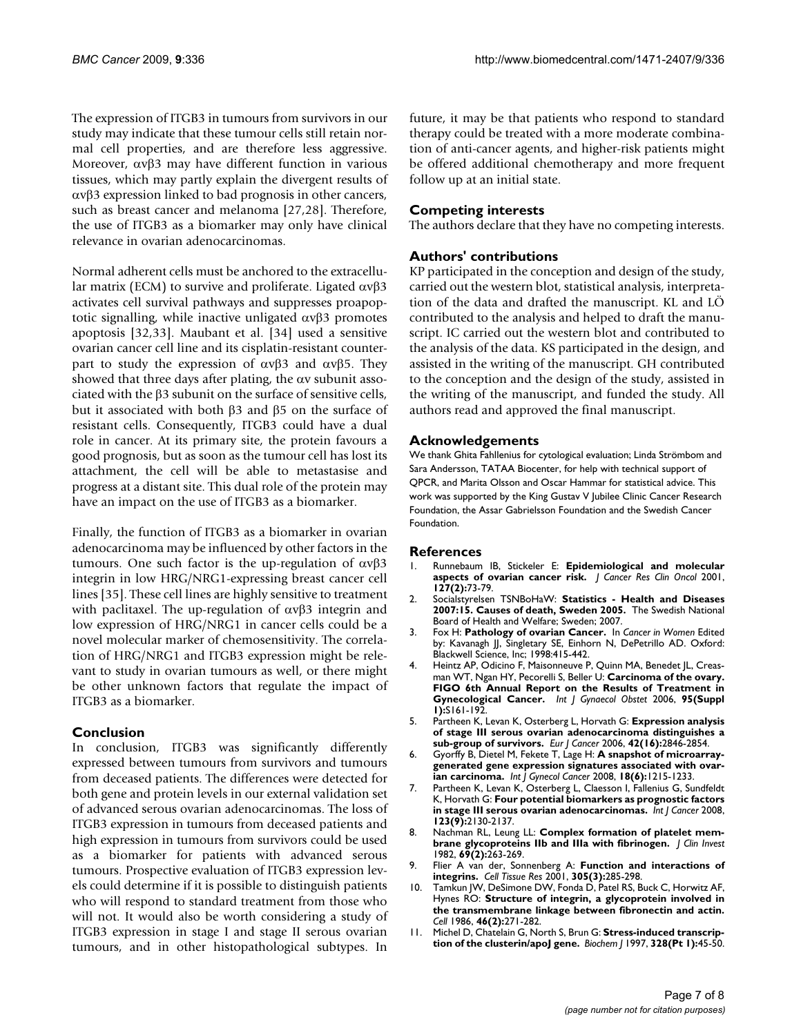The expression of ITGB3 in tumours from survivors in our study may indicate that these tumour cells still retain normal cell properties, and are therefore less aggressive. Moreover,  $\alpha v\beta$ 3 may have different function in various tissues, which may partly explain the divergent results of  $\alpha v\beta$ 3 expression linked to bad prognosis in other cancers, such as breast cancer and melanoma [27,28]. Therefore, the use of ITGB3 as a biomarker may only have clinical relevance in ovarian adenocarcinomas.

Normal adherent cells must be anchored to the extracellular matrix (ECM) to survive and proliferate. Ligated  $\alpha v\beta 3$ activates cell survival pathways and suppresses proapoptotic signalling, while inactive unligated  $\alpha v\beta$ 3 promotes apoptosis [32,33]. Maubant et al. [34] used a sensitive ovarian cancer cell line and its cisplatin-resistant counterpart to study the expression of  $\alpha v\beta$  and  $\alpha v\beta$ . They showed that three days after plating, the  $\alpha v$  subunit associated with the  $\beta$ 3 subunit on the surface of sensitive cells, but it associated with both  $\beta$ 3 and  $\beta$ 5 on the surface of resistant cells. Consequently, ITGB3 could have a dual role in cancer. At its primary site, the protein favours a good prognosis, but as soon as the tumour cell has lost its attachment, the cell will be able to metastasise and progress at a distant site. This dual role of the protein may have an impact on the use of ITGB3 as a biomarker.

Finally, the function of ITGB3 as a biomarker in ovarian adenocarcinoma may be influenced by other factors in the tumours. One such factor is the up-regulation of  $\alpha v\beta 3$ integrin in low HRG/NRG1-expressing breast cancer cell lines [35]. These cell lines are highly sensitive to treatment with paclitaxel. The up-regulation of  $\alpha \nu \beta$  integrin and low expression of HRG/NRG1 in cancer cells could be a novel molecular marker of chemosensitivity. The correlation of HRG/NRG1 and ITGB3 expression might be relevant to study in ovarian tumours as well, or there might be other unknown factors that regulate the impact of ITGB3 as a biomarker.

#### **Conclusion**

In conclusion, ITGB3 was significantly differently expressed between tumours from survivors and tumours from deceased patients. The differences were detected for both gene and protein levels in our external validation set of advanced serous ovarian adenocarcinomas. The loss of ITGB3 expression in tumours from deceased patients and high expression in tumours from survivors could be used as a biomarker for patients with advanced serous tumours. Prospective evaluation of ITGB3 expression levels could determine if it is possible to distinguish patients who will respond to standard treatment from those who will not. It would also be worth considering a study of ITGB3 expression in stage I and stage II serous ovarian tumours, and in other histopathological subtypes. In future, it may be that patients who respond to standard therapy could be treated with a more moderate combination of anti-cancer agents, and higher-risk patients might be offered additional chemotherapy and more frequent follow up at an initial state.

### **Competing interests**

The authors declare that they have no competing interests.

#### **Authors' contributions**

KP participated in the conception and design of the study, carried out the western blot, statistical analysis, interpretation of the data and drafted the manuscript. KL and LÖ contributed to the analysis and helped to draft the manuscript. IC carried out the western blot and contributed to the analysis of the data. KS participated in the design, and assisted in the writing of the manuscript. GH contributed to the conception and the design of the study, assisted in the writing of the manuscript, and funded the study. All authors read and approved the final manuscript.

#### **Acknowledgements**

We thank Ghita Fahllenius for cytological evaluation; Linda Strömbom and Sara Andersson, TATAA Biocenter, for help with technical support of QPCR, and Marita Olsson and Oscar Hammar for statistical advice. This work was supported by the King Gustav V Jubilee Clinic Cancer Research Foundation, the Assar Gabrielsson Foundation and the Swedish Cancer Foundation.

#### **References**

- 1. Runnebaum IB, Stickeler E: **[Epidemiological and molecular](http://www.ncbi.nlm.nih.gov/entrez/query.fcgi?cmd=Retrieve&db=PubMed&dopt=Abstract&list_uids=11216917) [aspects of ovarian cancer risk.](http://www.ncbi.nlm.nih.gov/entrez/query.fcgi?cmd=Retrieve&db=PubMed&dopt=Abstract&list_uids=11216917)** *J Cancer Res Clin Oncol* 2001, **127(2):**73-79.
- 2. Socialstyrelsen TSNBoHaW: **Statistics Health and Diseases 2007:15. Causes of death, Sweden 2005.** The Swedish National Board of Health and Welfare; Sweden; 2007.
- 3. Fox H: **Pathology of ovarian Cancer.** In *Cancer in Women* Edited by: Kavanagh JJ, Singletary SE, Einhorn N, DePetrillo AD. Oxford: Blackwell Science, Inc; 1998:415-442.
- 4. Heintz AP, Odicino F, Maisonneuve P, Quinn MA, Benedet JL, Creasman WT, Ngan HY, Pecorelli S, Beller U: **[Carcinoma of the ovary.](http://www.ncbi.nlm.nih.gov/entrez/query.fcgi?cmd=Retrieve&db=PubMed&dopt=Abstract&list_uids=17161157) [FIGO 6th Annual Report on the Results of Treatment in](http://www.ncbi.nlm.nih.gov/entrez/query.fcgi?cmd=Retrieve&db=PubMed&dopt=Abstract&list_uids=17161157) [Gynecological Cancer.](http://www.ncbi.nlm.nih.gov/entrez/query.fcgi?cmd=Retrieve&db=PubMed&dopt=Abstract&list_uids=17161157)** *Int J Gynaecol Obstet* 2006, **95(Suppl 1):**S161-192.
- 5. Partheen K, Levan K, Osterberg L, Horvath G: **[Expression analysis](http://www.ncbi.nlm.nih.gov/entrez/query.fcgi?cmd=Retrieve&db=PubMed&dopt=Abstract&list_uids=16996261) [of stage III serous ovarian adenocarcinoma distinguishes a](http://www.ncbi.nlm.nih.gov/entrez/query.fcgi?cmd=Retrieve&db=PubMed&dopt=Abstract&list_uids=16996261) [sub-group of survivors.](http://www.ncbi.nlm.nih.gov/entrez/query.fcgi?cmd=Retrieve&db=PubMed&dopt=Abstract&list_uids=16996261)** *Eur J Cancer* 2006, **42(16):**2846-2854.
- 6. Gyorffy B, Dietel M, Fekete T, Lage H: **[A snapshot of microarray](http://www.ncbi.nlm.nih.gov/entrez/query.fcgi?cmd=Retrieve&db=PubMed&dopt=Abstract&list_uids=18217975)[generated gene expression signatures associated with ovar](http://www.ncbi.nlm.nih.gov/entrez/query.fcgi?cmd=Retrieve&db=PubMed&dopt=Abstract&list_uids=18217975)[ian carcinoma.](http://www.ncbi.nlm.nih.gov/entrez/query.fcgi?cmd=Retrieve&db=PubMed&dopt=Abstract&list_uids=18217975)** *Int J Gynecol Cancer* 2008, **18(6):**1215-1233.
- 7. Partheen K, Levan K, Osterberg L, Claesson I, Fallenius G, Sundfeldt K, Horvath G: **[Four potential biomarkers as prognostic factors](http://www.ncbi.nlm.nih.gov/entrez/query.fcgi?cmd=Retrieve&db=PubMed&dopt=Abstract&list_uids=18709641) [in stage III serous ovarian adenocarcinomas.](http://www.ncbi.nlm.nih.gov/entrez/query.fcgi?cmd=Retrieve&db=PubMed&dopt=Abstract&list_uids=18709641)** *Int J Cancer* 2008, **123(9):**2130-2137.
- 8. Nachman RL, Leung LL: **[Complex formation of platelet mem](http://www.ncbi.nlm.nih.gov/entrez/query.fcgi?cmd=Retrieve&db=PubMed&dopt=Abstract&list_uids=6460044)[brane glycoproteins IIb and IIIa with fibrinogen.](http://www.ncbi.nlm.nih.gov/entrez/query.fcgi?cmd=Retrieve&db=PubMed&dopt=Abstract&list_uids=6460044)** *J Clin Invest* 1982, **69(2):**263-269.
- 9. Flier A van der, Sonnenberg A: **[Function and interactions of](http://www.ncbi.nlm.nih.gov/entrez/query.fcgi?cmd=Retrieve&db=PubMed&dopt=Abstract&list_uids=11572082) [integrins.](http://www.ncbi.nlm.nih.gov/entrez/query.fcgi?cmd=Retrieve&db=PubMed&dopt=Abstract&list_uids=11572082)** *Cell Tissue Res* 2001, **305(3):**285-298.
- 10. Tamkun JW, DeSimone DW, Fonda D, Patel RS, Buck C, Horwitz AF, Hynes RO: **[Structure of integrin, a glycoprotein involved in](http://www.ncbi.nlm.nih.gov/entrez/query.fcgi?cmd=Retrieve&db=PubMed&dopt=Abstract&list_uids=3487386) [the transmembrane linkage between fibronectin and actin.](http://www.ncbi.nlm.nih.gov/entrez/query.fcgi?cmd=Retrieve&db=PubMed&dopt=Abstract&list_uids=3487386)** *Cell* 1986, **46(2):**271-282.
- 11. Michel D, Chatelain G, North S, Brun G: **[Stress-induced transcrip](http://www.ncbi.nlm.nih.gov/entrez/query.fcgi?cmd=Retrieve&db=PubMed&dopt=Abstract&list_uids=9359832)[tion of the clusterin/apoJ gene.](http://www.ncbi.nlm.nih.gov/entrez/query.fcgi?cmd=Retrieve&db=PubMed&dopt=Abstract&list_uids=9359832)** *Biochem J* 1997, **328(Pt 1):**45-50.